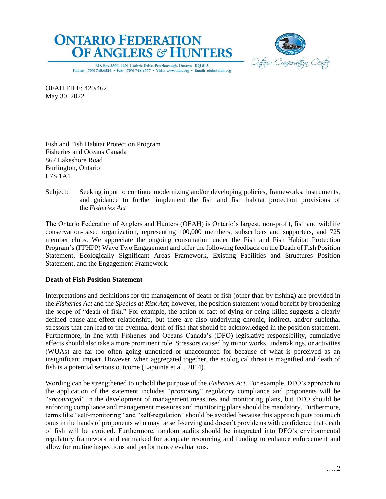



P.O. Box 2800, 4601 Guthrie Drive, Peterborough, Ontario K9J 8L5 Phone: (705) 748.6324 . Fax: (705) 748.9577 . Visit: www.ofah.org . Email: ofah@ofah.org

OFAH FILE: 420/462 May 30, 2022

Fish and Fish Habitat Protection Program Fisheries and Oceans Canada 867 Lakeshore Road Burlington, Ontario L7S 1A1

Subject: Seeking input to continue modernizing and/or developing policies, frameworks, instruments, and guidance to further implement the fish and fish habitat protection provisions of the *Fisheries Act*

The Ontario Federation of Anglers and Hunters (OFAH) is Ontario's largest, non-profit, fish and wildlife conservation-based organization, representing 100,000 members, subscribers and supporters, and 725 member clubs. We appreciate the ongoing consultation under the Fish and Fish Habitat Protection Program's (FFHPP) Wave Two Engagement and offer the following feedback on the Death of Fish Position Statement, Ecologically Significant Areas Framework, Existing Facilities and Structures Position Statement, and the Engagement Framework.

# **Death of Fish Position Statement**

Interpretations and definitions for the management of death of fish (other than by fishing) are provided in the *Fisheries Act* and the *Species at Risk Act*; however, the position statement would benefit by broadening the scope of "death of fish." For example, the action or fact of dying or being killed suggests a clearly defined cause-and-effect relationship, but there are also underlying chronic, indirect, and/or sublethal stressors that can lead to the eventual death of fish that should be acknowledged in the position statement. Furthermore, in line with Fisheries and Oceans Canada's (DFO) legislative responsibility, cumulative effects should also take a more prominent role. Stressors caused by minor works, undertakings, or activities (WUAs) are far too often going unnoticed or unaccounted for because of what is perceived as an insignificant impact. However, when aggregated together, the ecological threat is magnified and death of fish is a potential serious outcome (Lapointe et al., 2014).

Wording can be strengthened to uphold the purpose of the *Fisheries Act*. For example, DFO's approach to the application of the statement includes "*promoting*" regulatory compliance and proponents will be "*encouraged*" in the development of management measures and monitoring plans, but DFO should be enforcing compliance and management measures and monitoring plans should be mandatory. Furthermore, terms like "self-monitoring" and "self-regulation" should be avoided because this approach puts too much onus in the hands of proponents who may be self-serving and doesn't provide us with confidence that death of fish will be avoided. Furthermore, random audits should be integrated into DFO's environmental regulatory framework and earmarked for adequate resourcing and funding to enhance enforcement and allow for routine inspections and performance evaluations.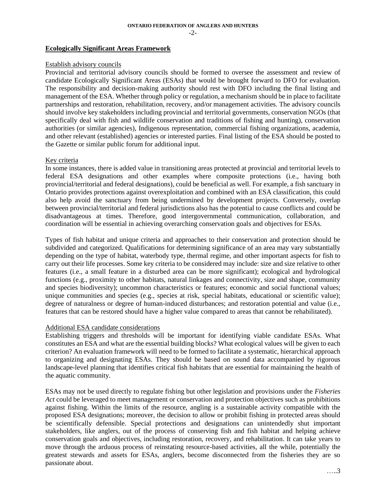#### **Ecologically Significant Areas Framework**

#### Establish advisory councils

Provincial and territorial advisory councils should be formed to oversee the assessment and review of candidate Ecologically Significant Areas (ESAs) that would be brought forward to DFO for evaluation. The responsibility and decision-making authority should rest with DFO including the final listing and management of the ESA. Whether through policy or regulation, a mechanism should be in place to facilitate partnerships and restoration, rehabilitation, recovery, and/or management activities. The advisory councils should involve key stakeholders including provincial and territorial governments, conservation NGOs (that specifically deal with fish and wildlife conservation and traditions of fishing and hunting), conservation authorities (or similar agencies), Indigenous representation, commercial fishing organizations, academia, and other relevant (established) agencies or interested parties. Final listing of the ESA should be posted to the Gazette or similar public forum for additional input.

# Key criteria

In some instances, there is added value in transitioning areas protected at provincial and territorial levels to federal ESA designations and other examples where composite protections (i.e., having both provincial/territorial and federal designations), could be beneficial as well. For example, a fish sanctuary in Ontario provides protections against overexploitation and combined with an ESA classification, this could also help avoid the sanctuary from being undermined by development projects. Conversely, overlap between provincial/territorial and federal jurisdictions also has the potential to cause conflicts and could be disadvantageous at times. Therefore, good intergovernmental communication, collaboration, and coordination will be essential in achieving overarching conservation goals and objectives for ESAs.

Types of fish habitat and unique criteria and approaches to their conservation and protection should be subdivided and categorized. Qualifications for determining significance of an area may vary substantially depending on the type of habitat, waterbody type, thermal regime, and other important aspects for fish to carry out their life processes. Some key criteria to be considered may include: size and size relative to other features (i.e., a small feature in a disturbed area can be more significant); ecological and hydrological functions (e.g., proximity to other habitats, natural linkages and connectivity, size and shape, community and species biodiversity); uncommon characteristics or features; economic and social functional values; unique communities and species (e.g., species at risk, special habitats, educational or scientific value); degree of naturalness or degree of human-induced disturbances; and restoration potential and value (i.e., features that can be restored should have a higher value compared to areas that cannot be rehabilitated).

# Additional ESA candidate considerations

Establishing triggers and thresholds will be important for identifying viable candidate ESAs. What constitutes an ESA and what are the essential building blocks? What ecological values will be given to each criterion? An evaluation framework will need to be formed to facilitate a systematic, hierarchical approach to organizing and designating ESAs. They should be based on sound data accompanied by rigorous landscape-level planning that identifies critical fish habitats that are essential for maintaining the health of the aquatic community.

ESAs may not be used directly to regulate fishing but other legislation and provisions under the *Fisheries Act* could be leveraged to meet management or conservation and protection objectives such as prohibitions against fishing. Within the limits of the resource, angling is a sustainable activity compatible with the proposed ESA designations; moreover, the decision to allow or prohibit fishing in protected areas should be scientifically defensible. Special protections and designations can unintendedly shut important stakeholders, like anglers, out of the process of conserving fish and fish habitat and helping achieve conservation goals and objectives, including restoration, recovery, and rehabilitation. It can take years to move through the arduous process of reinstating resource-based activities, all the while, potentially the greatest stewards and assets for ESAs, anglers, become disconnected from the fisheries they are so passionate about.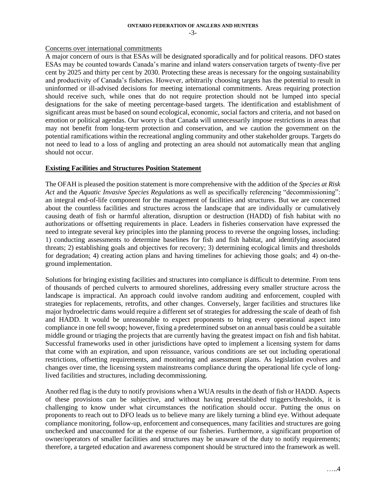-3-

# Concerns over international commitments

A major concern of ours is that ESAs will be designated sporadically and for political reasons. DFO states ESAs may be counted towards Canada's marine and inland waters conservation targets of twenty-five per cent by 2025 and thirty per cent by 2030. Protecting these areas is necessary for the ongoing sustainability and productivity of Canada's fisheries. However, arbitrarily choosing targets has the potential to result in uninformed or ill-advised decisions for meeting international commitments. Areas requiring protection should receive such, while ones that do not require protection should not be lumped into special designations for the sake of meeting percentage-based targets. The identification and establishment of significant areas must be based on sound ecological, economic, social factors and criteria, and not based on emotion or political agendas. Our worry is that Canada will unnecessarily impose restrictions in areas that may not benefit from long-term protection and conservation, and we caution the government on the potential ramifications within the recreational angling community and other stakeholder groups. Targets do not need to lead to a loss of angling and protecting an area should not automatically mean that angling should not occur.

# **Existing Facilities and Structures Position Statement**

The OFAH is pleased the position statement is more comprehensive with the addition of the *Species at Risk Act* and the *Aquatic Invasive Species Regulations* as well as specifically referencing "decommissioning": an integral end-of-life component for the management of facilities and structures. But we are concerned about the countless facilities and structures across the landscape that are individually or cumulatively causing death of fish or harmful alteration, disruption or destruction (HADD) of fish habitat with no authorizations or offsetting requirements in place. Leaders in fisheries conservation have expressed the need to integrate several key principles into the planning process to reverse the ongoing losses, including: 1) conducting assessments to determine baselines for fish and fish habitat, and identifying associated threats; 2) establishing goals and objectives for recovery; 3) determining ecological limits and thresholds for degradation; 4) creating action plans and having timelines for achieving those goals; and 4) on-theground implementation.

Solutions for bringing existing facilities and structures into compliance is difficult to determine. From tens of thousands of perched culverts to armoured shorelines, addressing every smaller structure across the landscape is impractical. An approach could involve random auditing and enforcement, coupled with strategies for replacements, retrofits, and other changes. Conversely, larger facilities and structures like major hydroelectric dams would require a different set of strategies for addressing the scale of death of fish and HADD. It would be unreasonable to expect proponents to bring every operational aspect into compliance in one fell swoop; however, fixing a predetermined subset on an annual basis could be a suitable middle ground or triaging the projects that are currently having the greatest impact on fish and fish habitat. Successful frameworks used in other jurisdictions have opted to implement a licensing system for dams that come with an expiration, and upon reissuance, various conditions are set out including operational restrictions, offsetting requirements, and monitoring and assessment plans. As legislation evolves and changes over time, the licensing system mainstreams compliance during the operational life cycle of longlived facilities and structures, including decommissioning.

Another red flag is the duty to notify provisions when a WUA results in the death of fish or HADD. Aspects of these provisions can be subjective, and without having preestablished triggers/thresholds, it is challenging to know under what circumstances the notification should occur. Putting the onus on proponents to reach out to DFO leads us to believe many are likely turning a blind eye. Without adequate compliance monitoring, follow-up, enforcement and consequences, many facilities and structures are going unchecked and unaccounted for at the expense of our fisheries. Furthermore, a significant proportion of owner/operators of smaller facilities and structures may be unaware of the duty to notify requirements; therefore, a targeted education and awareness component should be structured into the framework as well.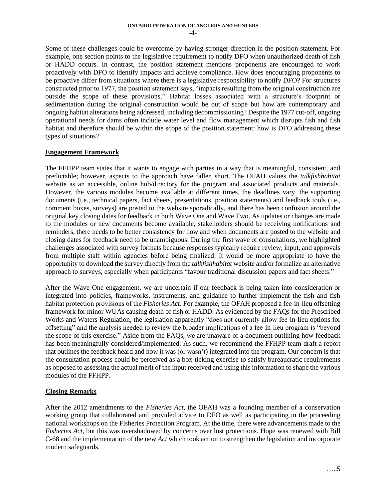Some of these challenges could be overcome by having stronger direction in the position statement. For example, one section points to the legislative requirement to notify DFO when unauthorized death of fish or HADD occurs. In contrast, the position statement mentions proponents are encouraged to work proactively with DFO to identify impacts and achieve compliance. How does encouraging proponents to be proactive differ from situations where there is a legislative responsibility to notify DFO? For structures constructed prior to 1977, the position statement says, "impacts resulting from the original construction are outside the scope of these provisions." Habitat losses associated with a structure's footprint or sedimentation during the original construction would be out of scope but how are contemporary and ongoing habitat alterations being addressed, including decommissioning? Despite the 1977 cut-off, ongoing operational needs for dams often include water level and flow management which disrupts fish and fish habitat and therefore should be within the scope of the position statement: how is DFO addressing these types of situations?

# **Engagement Framework**

The FFHPP team states that it wants to engage with parties in a way that is meaningful, consistent, and predictable; however, aspects to the approach have fallen short. The OFAH values the *talkfishhabitat* website as an accessible, online hub/directory for the program and associated products and materials. However, the various modules become available at different times, the deadlines vary, the supporting documents (i.e., technical papers, fact sheets, presentations, position statements) and feedback tools (i.e., comment boxes, surveys) are posted to the website sporadically, and there has been confusion around the original key closing dates for feedback in both Wave One and Wave Two. As updates or changes are made to the modules or new documents become available, stakeholders should be receiving notifications and reminders, there needs to be better consistency for how and when documents are posted to the website and closing dates for feedback need to be unambiguous. During the first wave of consultations, we highlighted challenges associated with survey formats because responses typically require review, input, and approvals from multiple staff within agencies before being finalized. It would be more appropriate to have the opportunity to download the survey directly from the *talkfishhabitat* website and/or formalize an alternative approach to surveys, especially when participants "favour traditional discussion papers and fact sheets."

After the Wave One engagement, we are uncertain if our feedback is being taken into consideration or integrated into policies, frameworks, instruments, and guidance to further implement the fish and fish habitat protection provisions of the *Fisheries Act*. For example, the OFAH proposed a fee-in-lieu offsetting framework for minor WUAs causing death of fish or HADD. As evidenced by the FAQs for the Prescribed Works and Waters Regulation, the legislation apparently "does not currently allow fee-in-lieu options for offsetting" and the analysis needed to review the broader implications of a fee-in-lieu program is "beyond the scope of this exercise." Aside from the FAQs, we are unaware of a document outlining how feedback has been meaningfully considered/implemented. As such, we recommend the FFHPP team draft a report that outlines the feedback heard and how it was (or wasn't) integrated into the program. Our concern is that the consultation process could be perceived as a box-ticking exercise to satisfy bureaucratic requirements as opposed to assessing the actual merit of the input received and using this information to shape the various modules of the FFHPP.

# **Closing Remarks**

After the 2012 amendments to the *Fisheries Act*, the OFAH was a founding member of a conservation working group that collaborated and provided advice to DFO as well as participating in the proceeding national workshops on the Fisheries Protection Program. At the time, there were advancements made to the *Fisheries Act,* but this was overshadowed by concerns over lost protections. Hope was renewed with Bill C-68 and the implementation of the new *Act* which took action to strengthen the legislation and incorporate modern safeguards.